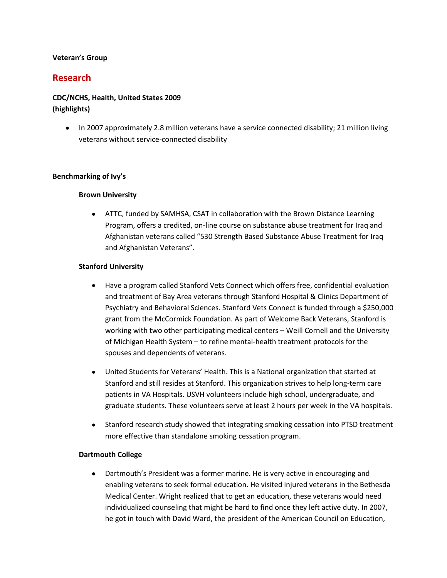#### **Veteran's Group**

### **Research**

### **CDC/NCHS, Health, United States 2009 (highlights)**

• In 2007 approximately 2.8 million veterans have a service connected disability; 21 million living veterans without service-connected disability

#### **Benchmarking of Ivy's**

#### **Brown University**

ATTC, funded by SAMHSA, CSAT in collaboration with the Brown Distance Learning Program, offers a credited, on-line course on substance abuse treatment for Iraq and Afghanistan veterans called "530 Strength Based Substance Abuse Treatment for Iraq and Afghanistan Veterans".

#### **Stanford University**

- Have a program called Stanford Vets Connect which offers free, confidential evaluation  $\bullet$ and treatment of Bay Area veterans through Stanford Hospital & Clinics Department of Psychiatry and Behavioral Sciences. Stanford Vets Connect is funded through a \$250,000 grant from the McCormick Foundation. As part of Welcome Back Veterans, Stanford is working with two other participating medical centers – Weill Cornell and the University of Michigan Health System – to refine mental-health treatment protocols for the spouses and dependents of veterans.
- United Students for Veterans' Health. This is a National organization that started at Stanford and still resides at Stanford. This organization strives to help long-term care patients in VA Hospitals. USVH volunteers include high school, undergraduate, and graduate students. These volunteers serve at least 2 hours per week in the VA hospitals.
- Stanford research study showed that integrating smoking cessation into PTSD treatment more effective than standalone smoking cessation program.

#### **Dartmouth College**

 $\bullet$ Dartmouth's President was a former marine. He is very active in encouraging and enabling veterans to seek formal education. He visited injured veterans in the Bethesda Medical Center. Wright realized that to get an education, these veterans would need individualized counseling that might be hard to find once they left active duty. In 2007, he got in touch with David Ward, the president of the American Council on Education,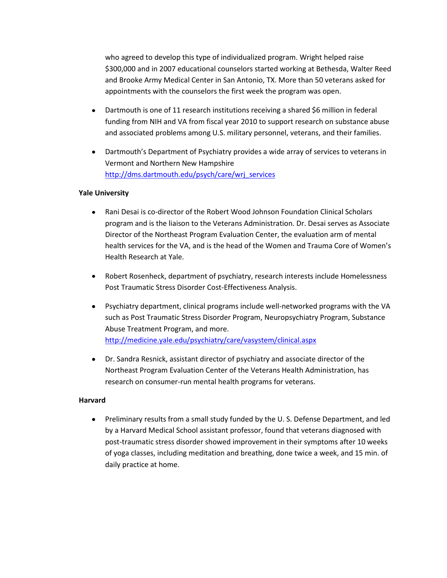who agreed to develop this type of individualized program. Wright helped raise \$300,000 and in 2007 educational counselors started working at Bethesda, Walter Reed and Brooke Army Medical Center in San Antonio, TX. More than 50 veterans asked for appointments with the counselors the first week the program was open.

- Dartmouth is one of 11 research institutions receiving a shared \$6 million in federal funding from NIH and VA from fiscal year 2010 to support research on substance abuse and associated problems among U.S. military personnel, veterans, and their families.
- Dartmouth's Department of Psychiatry provides a wide array of services to veterans in  $\bullet$ Vermont and Northern New Hampshire [http://dms.dartmouth.edu/psych/care/wrj\\_services](http://dms.dartmouth.edu/psych/care/wrj_services)

#### **Yale University**

- Rani Desai is co-director of the Robert Wood Johnson Foundation Clinical Scholars  $\bullet$ program and is the liaison to the Veterans Administration. Dr. Desai serves as Associate Director of the Northeast Program Evaluation Center, the evaluation arm of mental health services for the VA, and is the head of the Women and Trauma Core of Women's Health Research at Yale.
- Robert Rosenheck, department of psychiatry, research interests include Homelessness  $\bullet$ Post Traumatic Stress Disorder Cost-Effectiveness Analysis.
- $\bullet$ Psychiatry department, clinical programs include well-networked programs with the VA such as Post Traumatic Stress Disorder Program, Neuropsychiatry Program, Substance Abuse Treatment Program, and more. <http://medicine.yale.edu/psychiatry/care/vasystem/clinical.aspx>
- Dr. Sandra Resnick, assistant director of psychiatry and associate director of the Northeast Program Evaluation Center of the Veterans Health Administration, has research on consumer-run mental health programs for veterans.

#### **Harvard**

• Preliminary results from a small study funded by the U.S. Defense Department, and led by a Harvard Medical School assistant professor, found that veterans diagnosed with post-traumatic stress disorder showed improvement in their symptoms after 10 weeks of yoga classes, including meditation and breathing, done twice a week, and 15 min. of daily practice at home.